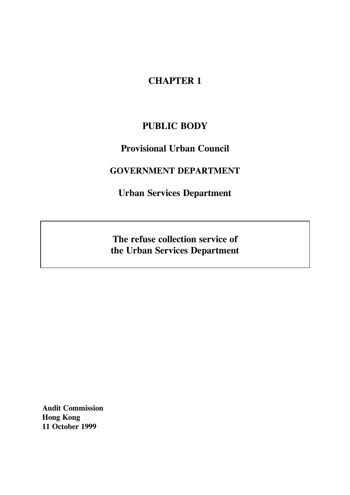# **CHAPTER 1**

# **PUBLIC BODY**

# **Provisional Urban Council**

# **GOVERNMENT DEPARTMENT**

**Urban Services Department**

**The refuse collection service of the Urban Services Department**

**Audit Commission Hong Kong 11 October 1999**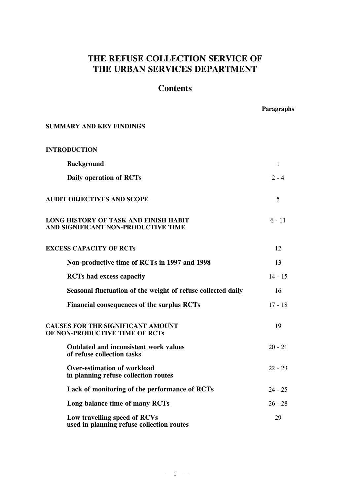# **THE REFUSE COLLECTION SERVICE OF THE URBAN SERVICES DEPARTMENT**

# **Contents**

**Paragraphs**

| <b>SUMMARY AND KEY FINDINGS</b>                                              |              |
|------------------------------------------------------------------------------|--------------|
| <b>INTRODUCTION</b>                                                          |              |
| <b>Background</b>                                                            | $\mathbf{1}$ |
| Daily operation of RCTs                                                      | $2 - 4$      |
| <b>AUDIT OBJECTIVES AND SCOPE</b>                                            | 5            |
| LONG HISTORY OF TASK AND FINISH HABIT<br>AND SIGNIFICANT NON-PRODUCTIVE TIME | $6 - 11$     |
| <b>EXCESS CAPACITY OF RCTs</b>                                               | 12           |
| Non-productive time of RCTs in 1997 and 1998                                 | 13           |
| <b>RCTs</b> had excess capacity                                              | $14 - 15$    |
| Seasonal fluctuation of the weight of refuse collected daily                 | 16           |
| Financial consequences of the surplus RCTs                                   | $17 - 18$    |
| <b>CAUSES FOR THE SIGNIFICANT AMOUNT</b><br>OF NON-PRODUCTIVE TIME OF RCTs   | 19           |
| <b>Outdated and inconsistent work values</b><br>of refuse collection tasks   | $20 - 21$    |
| <b>Over-estimation of workload</b><br>in planning refuse collection routes   | $22 - 23$    |
| Lack of monitoring of the performance of RCTs                                | $24 - 25$    |
| Long balance time of many RCTs                                               | $26 - 28$    |
| Low travelling speed of RCVs<br>used in planning refuse collection routes    | 29           |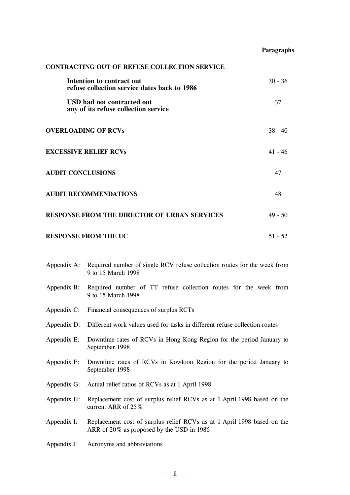# **Paragraphs**

| <b>CONTRACTING OUT OF REFUSE COLLECTION SERVICE</b>                       |           |
|---------------------------------------------------------------------------|-----------|
| Intention to contract out<br>refuse collection service dates back to 1986 | $30 - 36$ |
| USD had not contracted out<br>any of its refuse collection service        | 37        |
| <b>OVERLOADING OF RCVs</b>                                                | $38 - 40$ |
| <b>EXCESSIVE RELIEF RCVs</b>                                              | $41 - 46$ |
| <b>AUDIT CONCLUSIONS</b>                                                  | 47        |
| <b>AUDIT RECOMMENDATIONS</b>                                              | 48        |
| <b>RESPONSE FROM THE DIRECTOR OF URBAN SERVICES</b>                       | $49 - 50$ |
| <b>RESPONSE FROM THE UC</b>                                               | $51 - 52$ |

| Appendix A: | Required number of single RCV refuse collection routes for the week from<br>9 to 15 March 1998                       |
|-------------|----------------------------------------------------------------------------------------------------------------------|
|             | Appendix B: Required number of TT refuse collection routes for the week from<br>9 to 15 March 1998                   |
|             | Appendix C: Financial consequences of surplus RCTs                                                                   |
| Appendix D: | Different work values used for tasks in different refuse collection routes                                           |
| Appendix E: | Downtime rates of RCVs in Hong Kong Region for the period January to<br>September 1998                               |
| Appendix F: | Downtime rates of RCVs in Kowloon Region for the period January to<br>September 1998                                 |
| Appendix G: | Actual relief ratios of RCVs as at 1 April 1998                                                                      |
| Appendix H: | Replacement cost of surplus relief RCVs as at 1 April 1998 based on the<br>current ARR of 25%                        |
| Appendix I: | Replacement cost of surplus relief RCVs as at 1 April 1998 based on the<br>ARR of 20% as proposed by the USD in 1986 |
|             |                                                                                                                      |

Appendix J: Acronyms and abbreviations

— ii —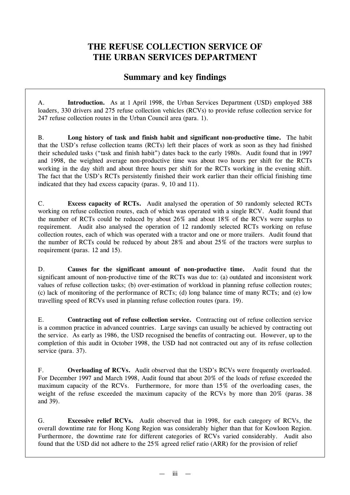# **THE REFUSE COLLECTION SERVICE OF THE URBAN SERVICES DEPARTMENT**

# **Summary and key findings**

A. **Introduction.** As at 1 April 1998, the Urban Services Department (USD) employed 388 loaders, 330 drivers and 275 refuse collection vehicles (RCVs) to provide refuse collection service for 247 refuse collection routes in the Urban Council area (para. 1).

B. **Long history of task and finish habit and significant non-productive time.** The habit that the USD's refuse collection teams (RCTs) left their places of work as soon as they had finished their scheduled tasks ("task and finish habit") dates back to the early 1980s. Audit found that in 1997 and 1998, the weighted average non-productive time was about two hours per shift for the RCTs working in the day shift and about three hours per shift for the RCTs working in the evening shift. The fact that the USD's RCTs persistently finished their work earlier than their official finishing time indicated that they had excess capacity (paras. 9, 10 and 11).

C. **Excess capacity of RCTs.** Audit analysed the operation of 50 randomly selected RCTs working on refuse collection routes, each of which was operated with a single RCV. Audit found that the number of RCTs could be reduced by about 26% and about 18% of the RCVs were surplus to requirement. Audit also analysed the operation of 12 randomly selected RCTs working on refuse collection routes, each of which was operated with a tractor and one or more trailers. Audit found that the number of RCTs could be reduced by about 28% and about 25% of the tractors were surplus to requirement (paras. 12 and 15).

D. **Causes for the significant amount of non-productive time.** Audit found that the significant amount of non-productive time of the RCTs was due to: (a) outdated and inconsistent work values of refuse collection tasks; (b) over-estimation of workload in planning refuse collection routes; (c) lack of monitoring of the performance of RCTs; (d) long balance time of many RCTs; and (e) low travelling speed of RCVs used in planning refuse collection routes (para. 19).

E. **Contracting out of refuse collection service.** Contracting out of refuse collection service is a common practice in advanced countries. Large savings can usually be achieved by contracting out the service. As early as 1986, the USD recognised the benefits of contracting out. However, up to the completion of this audit in October 1998, the USD had not contracted out any of its refuse collection service (para. 37).

F. **Overloading of RCVs.** Audit observed that the USD's RCVs were frequently overloaded. For December 1997 and March 1998, Audit found that about 20% of the loads of refuse exceeded the maximum capacity of the RCVs. Furthermore, for more than 15% of the overloading cases, the weight of the refuse exceeded the maximum capacity of the RCVs by more than 20% (paras. 38 and 39).

G. **Excessive relief RCVs.** Audit observed that in 1998, for each category of RCVs, the overall downtime rate for Hong Kong Region was considerably higher than that for Kowloon Region. Furthermore, the downtime rate for different categories of RCVs varied considerably. Audit also found that the USD did not adhere to the 25% agreed relief ratio (ARR) for the provision of relief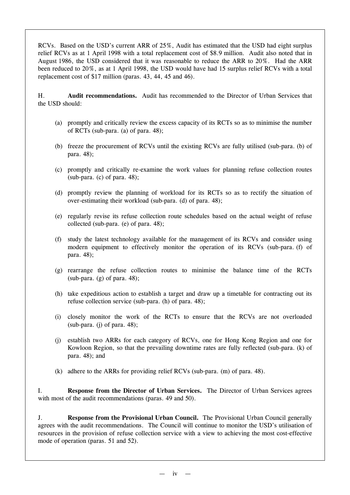RCVs. Based on the USD's current ARR of 25%, Audit has estimated that the USD had eight surplus relief RCVs as at 1 April 1998 with a total replacement cost of \$8.9 million. Audit also noted that in August 1986, the USD considered that it was reasonable to reduce the ARR to 20%. Had the ARR been reduced to 20%, as at 1 April 1998, the USD would have had 15 surplus relief RCVs with a total replacement cost of \$17 million (paras. 43, 44, 45 and 46).

H. **Audit recommendations.** Audit has recommended to the Director of Urban Services that the USD should:

- (a) promptly and critically review the excess capacity of its RCTs so as to minimise the number of RCTs (sub-para. (a) of para. 48);
- (b) freeze the procurement of RCVs until the existing RCVs are fully utilised (sub-para. (b) of para. 48);
- (c) promptly and critically re-examine the work values for planning refuse collection routes  $(sub$ -para. (c) of para. 48);
- (d) promptly review the planning of workload for its RCTs so as to rectify the situation of over-estimating their workload (sub-para. (d) of para. 48);
- (e) regularly revise its refuse collection route schedules based on the actual weight of refuse collected (sub-para. (e) of para. 48);
- (f) study the latest technology available for the management of its RCVs and consider using modern equipment to effectively monitor the operation of its RCVs (sub-para. (f) of para. 48);
- (g) rearrange the refuse collection routes to minimise the balance time of the RCTs (sub-para.  $(g)$  of para. 48);
- (h) take expeditious action to establish a target and draw up a timetable for contracting out its refuse collection service (sub-para. (h) of para. 48);
- (i) closely monitor the work of the RCTs to ensure that the RCVs are not overloaded  $(sub\text{-}para.$  (i) of para. 48);
- (j) establish two ARRs for each category of RCVs, one for Hong Kong Region and one for Kowloon Region, so that the prevailing downtime rates are fully reflected (sub-para. (k) of para. 48); and
- (k) adhere to the ARRs for providing relief RCVs (sub-para. (m) of para. 48).

I. **Response from the Director of Urban Services.** The Director of Urban Services agrees with most of the audit recommendations (paras. 49 and 50).

J. **Response from the Provisional Urban Council.** The Provisional Urban Council generally agrees with the audit recommendations. The Council will continue to monitor the USD's utilisation of resources in the provision of refuse collection service with a view to achieving the most cost-effective mode of operation (paras. 51 and 52).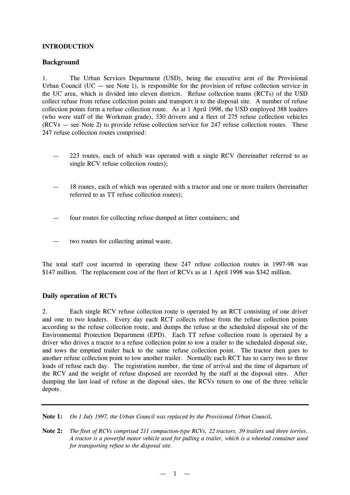## **INTRODUCTION**

# **Background**

1. The Urban Services Department (USD), being the executive arm of the Provisional Urban Council (UC  $-$  see Note 1), is responsible for the provision of refuse collection service in the UC area, which is divided into eleven districts. Refuse collection teams (RCTs) of the USD collect refuse from refuse collection points and transport it to the disposal site. A number of refuse collection points form a refuse collection route. As at 1 April 1998, the USD employed 388 loaders (who were staff of the Workman grade), 330 drivers and a fleet of 275 refuse collection vehicles (RCVs — see Note 2) to provide refuse collection service for 247 refuse collection routes. These 247 refuse collection routes comprised:

- 223 routes, each of which was operated with a single RCV (hereinafter referred to as single RCV refuse collection routes);
- 18 routes, each of which was operated with a tractor and one or more trailers (hereinafter referred to as TT refuse collection routes);
- four routes for collecting refuse dumped at litter containers; and
- two routes for collecting animal waste.

The total staff cost incurred in operating these 247 refuse collection routes in 1997-98 was \$147 million. The replacement cost of the fleet of RCVs as at 1 April 1998 was \$342 million.

# **Daily operation of RCTs**

2. Each single RCV refuse collection route is operated by an RCT consisting of one driver and one to two loaders. Every day each RCT collects refuse from the refuse collection points according to the refuse collection route, and dumps the refuse at the scheduled disposal site of the Environmental Protection Department (EPD). Each TT refuse collection route is operated by a driver who drives a tractor to a refuse collection point to tow a trailer to the scheduled disposal site, and tows the emptied trailer back to the same refuse collection point. The tractor then goes to another refuse collection point to tow another trailer. Normally each RCT has to carry two to three loads of refuse each day. The registration number, the time of arrival and the time of departure of the RCV and the weight of refuse disposed are recorded by the staff at the disposal sites. After dumping the last load of refuse at the disposal sites, the RCVs return to one of the three vehicle depots.

**Note 1:** *On 1 July 1997, the Urban Council was replaced by the Provisional Urban Council.*

**Note 2:** *The fleet of RCVs comprised 211 compaction-type RCVs, 22 tractors, 39 trailers and three lorries.* A tractor is a powerful motor vehicle used for pulling a trailer, which is a wheeled container used *for transporting refuse to the disposal site.*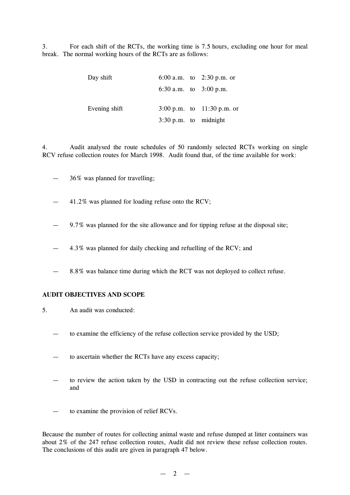3. For each shift of the RCTs, the working time is 7.5 hours, excluding one hour for meal break. The normal working hours of the RCTs are as follows:

| Day shift     |                                 | 6:00 a.m. to $2:30$ p.m. or  |
|---------------|---------------------------------|------------------------------|
|               |                                 | 6:30 a.m. to $3:00$ p.m.     |
| Evening shift |                                 | 3:00 p.m. to $11:30$ p.m. or |
|               | $3:30 \text{ p.m.}$ to midnight |                              |

4. Audit analysed the route schedules of 50 randomly selected RCTs working on single RCV refuse collection routes for March 1998. Audit found that, of the time available for work:

- 36% was planned for travelling;
- 41.2% was planned for loading refuse onto the RCV;
- 9.7% was planned for the site allowance and for tipping refuse at the disposal site;
- 4.3% was planned for daily checking and refuelling of the RCV; and
- 8.8% was balance time during which the RCT was not deployed to collect refuse.

## **AUDIT OBJECTIVES AND SCOPE**

- 5. An audit was conducted:
	- to examine the efficiency of the refuse collection service provided by the USD;
	- to ascertain whether the RCTs have any excess capacity;
	- to review the action taken by the USD in contracting out the refuse collection service; and
	- to examine the provision of relief RCVs.

Because the number of routes for collecting animal waste and refuse dumped at litter containers was about 2% of the 247 refuse collection routes, Audit did not review these refuse collection routes. The conclusions of this audit are given in paragraph 47 below.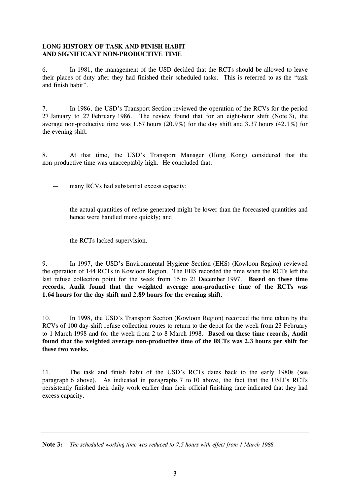# **LONG HISTORY OF TASK AND FINISH HABIT AND SIGNIFICANT NON-PRODUCTIVE TIME**

6. In 1981, the management of the USD decided that the RCTs should be allowed to leave their places of duty after they had finished their scheduled tasks. This is referred to as the "task and finish habit".

7. In 1986, the USD's Transport Section reviewed the operation of the RCVs for the period 27 January to 27 February 1986. The review found that for an eight-hour shift (Note 3), the average non-productive time was 1.67 hours (20.9%) for the day shift and 3.37 hours (42.1%) for the evening shift.

8. At that time, the USD's Transport Manager (Hong Kong) considered that the non-productive time was unacceptably high. He concluded that:

- many RCVs had substantial excess capacity;
- the actual quantities of refuse generated might be lower than the forecasted quantities and hence were handled more quickly; and
- the RCTs lacked supervision.

9. In 1997, the USD's Environmental Hygiene Section (EHS) (Kowloon Region) reviewed the operation of 144 RCTs in Kowloon Region. The EHS recorded the time when the RCTs left the last refuse collection point for the week from 15 to 21 December 1997. **Based on these time records, Audit found that the weighted average non-productive time of the RCTs was 1.64 hours for the day shift and 2.89 hours for the evening shift.**

10. In 1998, the USD's Transport Section (Kowloon Region) recorded the time taken by the RCVs of 100 day-shift refuse collection routes to return to the depot for the week from 23 February to 1 March 1998 and for the week from 2 to 8 March 1998. **Based on these time records, Audit found that the weighted average non-productive time of the RCTs was 2.3 hours per shift for these two weeks.**

11. The task and finish habit of the USD's RCTs dates back to the early 1980s (see paragraph 6 above). As indicated in paragraphs 7 to 10 above, the fact that the USD's RCTs persistently finished their daily work earlier than their official finishing time indicated that they had excess capacity.

**Note 3:** *The scheduled working time was reduced to 7.5 hours with effect from 1 March 1988.*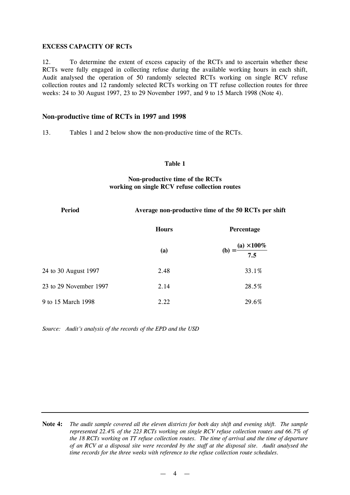#### **EXCESS CAPACITY OF RCTs**

12. To determine the extent of excess capacity of the RCTs and to ascertain whether these RCTs were fully engaged in collecting refuse during the available working hours in each shift, Audit analysed the operation of 50 randomly selected RCTs working on single RCV refuse collection routes and 12 randomly selected RCTs working on TT refuse collection routes for three weeks: 24 to 30 August 1997, 23 to 29 November 1997, and 9 to 15 March 1998 (Note 4).

# **Non-productive time of RCTs in 1997 and 1998**

13. Tables 1 and 2 below show the non-productive time of the RCTs.

#### **Table 1**

# **Non-productive time of the RCTs working on single RCV refuse collection routes**

| <b>Period</b>          | Average non-productive time of the 50 RCTs per shift |                                      |  |  |
|------------------------|------------------------------------------------------|--------------------------------------|--|--|
|                        | <b>Hours</b>                                         | Percentage                           |  |  |
|                        | (a)                                                  | (b) = $\frac{(a) \times 100\%}{7.5}$ |  |  |
| 24 to 30 August 1997   | 2.48                                                 | 33.1%                                |  |  |
| 23 to 29 November 1997 | 2.14                                                 | 28.5%                                |  |  |
| 9 to 15 March 1998     | 2.22                                                 | 29.6%                                |  |  |

*Source: Audit's analysis of the records of the EPD and the USD*

Note 4: The audit sample covered all the eleven districts for both day shift and evening shift. The sample *represented 22.4% of the 223 RCTs working on single RCV refuse collection routes and 66.7% of the 18 RCTs working on TT refuse collection routes. The time of arrival and the time of departure* of an RCV at a disposal site were recorded by the staff at the disposal site. Audit analysed the *time records for the three weeks with reference to the refuse collection route schedules.*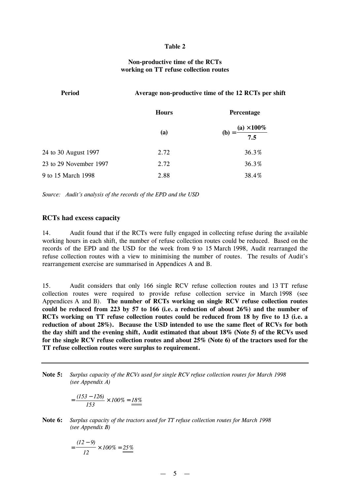#### **Table 2**

#### **Non-productive time of the RCTs working on TT refuse collection routes**

| <b>Period</b>          | Average non-productive time of the 12 RCTs per shift |                                      |  |  |
|------------------------|------------------------------------------------------|--------------------------------------|--|--|
|                        | <b>Hours</b>                                         | Percentage                           |  |  |
|                        | <b>(a)</b>                                           | (b) = $\frac{(a) \times 100\%}{7.5}$ |  |  |
| 24 to 30 August 1997   | 2.72                                                 | 36.3%                                |  |  |
| 23 to 29 November 1997 | 2.72                                                 | 36.3%                                |  |  |
| 9 to 15 March 1998     | 2.88                                                 | 38.4%                                |  |  |

*Source: Audit's analysis of the records of the EPD and the USD*

#### **RCTs had excess capacity**

14. Audit found that if the RCTs were fully engaged in collecting refuse during the available working hours in each shift, the number of refuse collection routes could be reduced. Based on the records of the EPD and the USD for the week from 9 to 15 March 1998, Audit rearranged the refuse collection routes with a view to minimising the number of routes. The results of Audit's rearrangement exercise are summarised in Appendices A and B.

15. Audit considers that only 166 single RCV refuse collection routes and 13 TT refuse collection routes were required to provide refuse collection service in March 1998 (see Appendices A and B). **The number of RCTs working on single RCV refuse collection routes could be reduced from 223 by 57 to 166 (i.e. a reduction of about 26%) and the number of RCTs working on TT refuse collection routes could be reduced from 18 by five to 13 (i.e. a reduction of about 28%). Because the USD intended to use the same fleet of RCVs for both the day shift and the evening shift, Audit estimated that about 18% (Note 5) of the RCVs used for the single RCV refuse collection routes and about 25% (Note 6) of the tractors used for the TT refuse collection routes were surplus to requirement.**

**Note 5:** *Surplus capacity of the RCVs used for single RCV refuse collection routes for March 1998 (see Appendix A)*

$$
=\frac{(153-126)}{153}\times 100\% = \underline{18\%}
$$

**Note 6:** *Surplus capacity of the tractors used for TT refuse collection routes for March 1998 (see Appendix B)*

$$
=\frac{(12-9)}{12}\times 100\% = \underline{25\%}
$$

 $-5 -$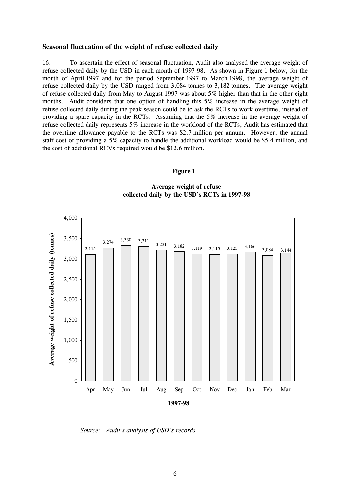#### **Seasonal fluctuation of the weight of refuse collected daily**

16. To ascertain the effect of seasonal fluctuation, Audit also analysed the average weight of refuse collected daily by the USD in each month of 1997-98. As shown in Figure 1 below, for the month of April 1997 and for the period September 1997 to March 1998, the average weight of refuse collected daily by the USD ranged from 3,084 tonnes to 3,182 tonnes. The average weight of refuse collected daily from May to August 1997 was about 5% higher than that in the other eight months. Audit considers that one option of handling this 5% increase in the average weight of refuse collected daily during the peak season could be to ask the RCTs to work overtime, instead of providing a spare capacity in the RCTs. Assuming that the 5% increase in the average weight of refuse collected daily represents 5% increase in the workload of the RCTs, Audit has estimated that the overtime allowance payable to the RCTs was \$2.7 million per annum. However, the annual staff cost of providing a 5% capacity to handle the additional workload would be \$5.4 million, and the cost of additional RCVs required would be \$12.6 million.

#### **Figure 1**

**Average weight of refuse collected daily by the USD's RCTs in 1997-98**



*Source: Audit's analysis of USD's records*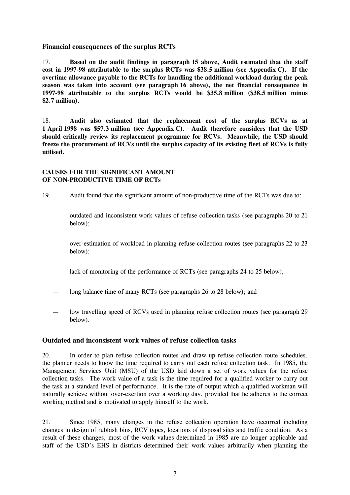## **Financial consequences of the surplus RCTs**

17. **Based on the audit findings in paragraph 15 above, Audit estimated that the staff cost in 1997-98 attributable to the surplus RCTs was \$38.5 million (see Appendix C). If the overtime allowance payable to the RCTs for handling the additional workload during the peak season was taken into account (see paragraph 16 above), the net financial consequence in 1997-98 attributable to the surplus RCTs would be \$35.8 million (\$38.5 million minus \$2.7 million).**

18. **Audit also estimated that the replacement cost of the surplus RCVs as at 1 April 1998 was \$57.3 million (see Appendix C). Audit therefore considers that the USD should critically review its replacement programme for RCVs. Meanwhile, the USD should freeze the procurement of RCVs until the surplus capacity of its existing fleet of RCVs is fully utilised.**

# **CAUSES FOR THE SIGNIFICANT AMOUNT OF NON-PRODUCTIVE TIME OF RCTs**

- 19. Audit found that the significant amount of non-productive time of the RCTs was due to:
	- outdated and inconsistent work values of refuse collection tasks (see paragraphs 20 to 21 below);
	- over-estimation of workload in planning refuse collection routes (see paragraphs 22 to 23 below);
	- lack of monitoring of the performance of RCTs (see paragraphs 24 to 25 below);
	- long balance time of many RCTs (see paragraphs 26 to 28 below); and
	- low travelling speed of RCVs used in planning refuse collection routes (see paragraph 29 below).

# **Outdated and inconsistent work values of refuse collection tasks**

20. In order to plan refuse collection routes and draw up refuse collection route schedules, the planner needs to know the time required to carry out each refuse collection task. In 1985, the Management Services Unit (MSU) of the USD laid down a set of work values for the refuse collection tasks. The work value of a task is the time required for a qualified worker to carry out the task at a standard level of performance. It is the rate of output which a qualified workman will naturally achieve without over-exertion over a working day, provided that he adheres to the correct working method and is motivated to apply himself to the work.

21. Since 1985, many changes in the refuse collection operation have occurred including changes in design of rubbish bins, RCV types, locations of disposal sites and traffic condition. As a result of these changes, most of the work values determined in 1985 are no longer applicable and staff of the USD's EHS in districts determined their work values arbitrarily when planning the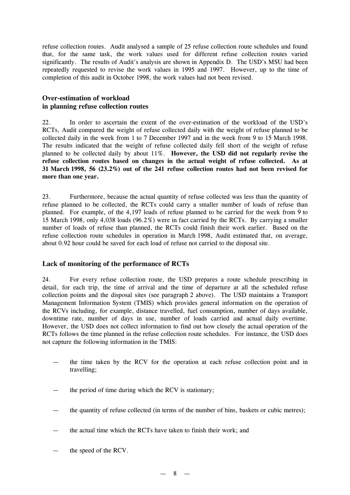refuse collection routes. Audit analysed a sample of 25 refuse collection route schedules and found that, for the same task, the work values used for different refuse collection routes varied significantly. The results of Audit's analysis are shown in Appendix D. The USD's MSU had been repeatedly requested to revise the work values in 1995 and 1997. However, up to the time of completion of this audit in October 1998, the work values had not been revised.

# **Over-estimation of workload in planning refuse collection routes**

22. In order to ascertain the extent of the over-estimation of the workload of the USD's RCTs, Audit compared the weight of refuse collected daily with the weight of refuse planned to be collected daily in the week from 1 to 7 December 1997 and in the week from 9 to 15 March 1998. The results indicated that the weight of refuse collected daily fell short of the weight of refuse planned to be collected daily by about 11%. **However, the USD did not regularly revise the refuse collection routes based on changes in the actual weight of refuse collected. As at 31 March 1998, 56 (23.2%) out of the 241 refuse collection routes had not been revised for more than one year.**

23. Furthermore, because the actual quantity of refuse collected was less than the quantity of refuse planned to be collected, the RCTs could carry a smaller number of loads of refuse than planned. For example, of the 4,197 loads of refuse planned to be carried for the week from 9 to 15 March 1998, only 4,038 loads (96.2%) were in fact carried by the RCTs. By carrying a smaller number of loads of refuse than planned, the RCTs could finish their work earlier. Based on the refuse collection route schedules in operation in March 1998, Audit estimated that, on average, about 0.92 hour could be saved for each load of refuse not carried to the disposal site.

# **Lack of monitoring of the performance of RCTs**

24. For every refuse collection route, the USD prepares a route schedule prescribing in detail, for each trip, the time of arrival and the time of departure at all the scheduled refuse collection points and the disposal sites (see paragraph 2 above). The USD maintains a Transport Management Information System (TMIS) which provides general information on the operation of the RCVs including, for example, distance travelled, fuel consumption, number of days available, downtime rate, number of days in use, number of loads carried and actual daily overtime. However, the USD does not collect information to find out how closely the actual operation of the RCTs follows the time planned in the refuse collection route schedules. For instance, the USD does not capture the following information in the TMIS:

- the time taken by the RCV for the operation at each refuse collection point and in travelling;
- the period of time during which the RCV is stationary:
- the quantity of refuse collected (in terms of the number of bins, baskets or cubic metres);
- the actual time which the RCTs have taken to finish their work; and
- the speed of the RCV.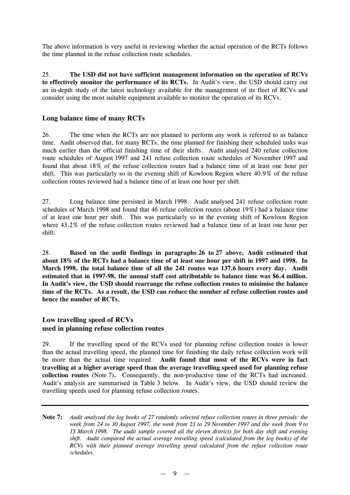The above information is very useful in reviewing whether the actual operation of the RCTs follows the time planned in the refuse collection route schedules.

25. **The USD did not have sufficient management information on the operation of RCVs to effectively monitor the performance of its RCTs.** In Audit's view, the USD should carry out an in-depth study of the latest technology available for the management of its fleet of RCVs and consider using the most suitable equipment available to monitor the operation of its RCVs.

# **Long balance time of many RCTs**

26. The time when the RCTs are not planned to perform any work is referred to as balance time. Audit observed that, for many RCTs, the time planned for finishing their scheduled tasks was much earlier than the official finishing time of their shifts. Audit analysed 240 refuse collection route schedules of August 1997 and 241 refuse collection route schedules of November 1997 and found that about 18% of the refuse collection routes had a balance time of at least one hour per shift. This was particularly so in the evening shift of Kowloon Region where 40.9% of the refuse collection routes reviewed had a balance time of at least one hour per shift.

27. Long balance time persisted in March 1998. Audit analysed 241 refuse collection route schedules of March 1998 and found that 46 refuse collection routes (about 19%) had a balance time of at least one hour per shift. This was particularly so in the evening shift of Kowloon Region where 43.2% of the refuse collection routes reviewed had a balance time of at least one hour per shift.

28. **Based on the audit findings in paragraphs 26 to 27 above, Audit estimated that** about 18% of the RCTs had a balance time of at least one hour per shift in 1997 and 1998. In **March 1998, the total balance time of all the 241 routes was 137.6 hours every day. Audit estimated that in 1997-98, the annual staff cost attributable to balance time was \$6.4 million. In Audit's view, the USD should rearrange the refuse collection routes to minimise the balance time of the RCTs. As a result, the USD can reduce the number of refuse collection routes and hence the number of RCTs.**

# **Low travelling speed of RCVs used in planning refuse collection routes**

29. If the travelling speed of the RCVs used for planning refuse collection routes is lower than the actual travelling speed, the planned time for finishing the daily refuse collection work will be more than the actual time required. **Audit found that most of the RCVs were in fact travelling at a higher average speed than the average travelling speed used for planning refuse collection routes** (Note 7)**.** Consequently, the non-productive time of the RCTs had increased. Audit's analysis are summarised in Table 3 below. In Audit's view, the USD should review the travelling speeds used for planning refuse collection routes.

Note 7: Audit analysed the log books of 27 randomly selected refuse collection routes in three periods: the week from 24 to 30 August 1997, the week from 23 to 29 November 1997 and the week from 9 to *15 March 1998. The audit sample covered all the eleven districts for both day shift and evening shift. Audit compared the actual average travelling speed (calculated from the log books) of the RCVs with their planned average travelling speed calculated from the refuse collection route schedules.*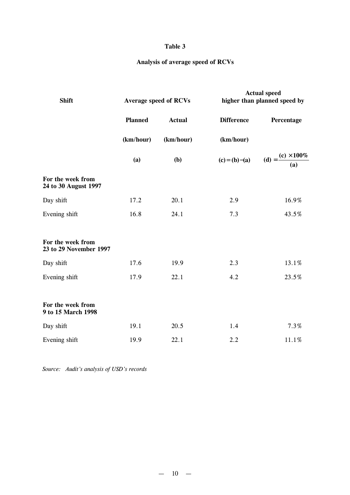# **Table 3**

# **Analysis of average speed of RCVs**

| <b>Shift</b>                                | <b>Average speed of RCVs</b> |               |                   | <b>Actual speed</b><br>higher than planned speed by |  |
|---------------------------------------------|------------------------------|---------------|-------------------|-----------------------------------------------------|--|
|                                             | <b>Planned</b>               | <b>Actual</b> | <b>Difference</b> | Percentage                                          |  |
|                                             | (km/hour)                    | (km/hour)     | (km/hour)         |                                                     |  |
|                                             | (a)                          | (b)           | $(c) = (b) - (a)$ | (d) = $\frac{(c) \times 100\%}{(a)}$                |  |
| For the week from<br>24 to 30 August 1997   |                              |               |                   |                                                     |  |
| Day shift                                   | 17.2                         | 20.1          | 2.9               | 16.9%                                               |  |
| Evening shift                               | 16.8                         | 24.1          | 7.3               | 43.5%                                               |  |
| For the week from<br>23 to 29 November 1997 |                              |               |                   |                                                     |  |
| Day shift                                   | 17.6                         | 19.9          | 2.3               | 13.1%                                               |  |
| Evening shift                               | 17.9                         | 22.1          | 4.2               | 23.5%                                               |  |
| For the week from<br>9 to 15 March 1998     |                              |               |                   |                                                     |  |
| Day shift                                   | 19.1                         | 20.5          | 1.4               | 7.3%                                                |  |
| Evening shift                               | 19.9                         | 22.1          | 2.2               | 11.1%                                               |  |

*Source: Audit's analysis of USD's records*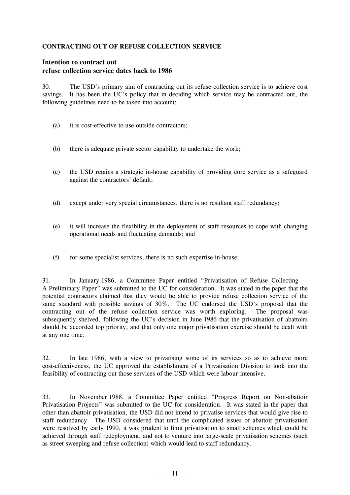## **CONTRACTING OUT OF REFUSE COLLECTION SERVICE**

# **Intention to contract out refuse collection service dates back to 1986**

30. The USD's primary aim of contracting out its refuse collection service is to achieve cost savings. It has been the UC's policy that in deciding which service may be contracted out, the following guidelines need to be taken into account:

- (a) it is cost-effective to use outside contractors;
- (b) there is adequate private sector capability to undertake the work;
- (c) the USD retains a strategic in-house capability of providing core service as a safeguard against the contractors' default;
- (d) except under very special circumstances, there is no resultant staff redundancy;
- (e) it will increase the flexibility in the deployment of staff resources to cope with changing operational needs and fluctuating demands; and
- (f) for some specialist services, there is no such expertise in-house.

31. In January 1986, a Committee Paper entitled "Privatisation of Refuse Collecting — A Preliminary Paper" was submitted to the UC for consideration. It was stated in the paper that the potential contractors claimed that they would be able to provide refuse collection service of the same standard with possible savings of 30%. The UC endorsed the USD's proposal that the contracting out of the refuse collection service was worth exploring. The proposal was subsequently shelved, following the UC's decision in June 1986 that the privatisation of abattoirs should be accorded top priority, and that only one major privatisation exercise should be dealt with at any one time.

32. In late 1986, with a view to privatising some of its services so as to achieve more cost-effectiveness, the UC approved the establishment of a Privatisation Division to look into the feasibility of contracting out those services of the USD which were labour-intensive.

33. In November 1988, a Committee Paper entitled "Progress Report on Non-abattoir Privatisation Projects" was submitted to the UC for consideration. It was stated in the paper that other than abattoir privatisation, the USD did not intend to privatise services that would give rise to staff redundancy. The USD considered that until the complicated issues of abattoir privatisation were resolved by early 1990, it was prudent to limit privatisation to small schemes which could be achieved through staff redeployment, and not to venture into large-scale privatisation schemes (such as street sweeping and refuse collection) which would lead to staff redundancy.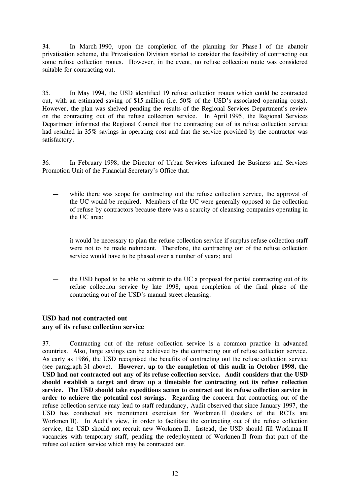34. In March 1990, upon the completion of the planning for Phase I of the abattoir privatisation scheme, the Privatisation Division started to consider the feasibility of contracting out some refuse collection routes. However, in the event, no refuse collection route was considered suitable for contracting out.

35. In May 1994, the USD identified 19 refuse collection routes which could be contracted out, with an estimated saving of \$15 million (i.e. 50% of the USD's associated operating costs). However, the plan was shelved pending the results of the Regional Services Department's review on the contracting out of the refuse collection service. In April 1995, the Regional Services Department informed the Regional Council that the contracting out of its refuse collection service had resulted in 35% savings in operating cost and that the service provided by the contractor was satisfactory.

36. In February 1998, the Director of Urban Services informed the Business and Services Promotion Unit of the Financial Secretary's Office that:

- while there was scope for contracting out the refuse collection service, the approval of the UC would be required. Members of the UC were generally opposed to the collection of refuse by contractors because there was a scarcity of cleansing companies operating in the UC area;
- it would be necessary to plan the refuse collection service if surplus refuse collection staff were not to be made redundant. Therefore, the contracting out of the refuse collection service would have to be phased over a number of years; and
- the USD hoped to be able to submit to the UC a proposal for partial contracting out of its refuse collection service by late 1998, upon completion of the final phase of the contracting out of the USD's manual street cleansing.

# **USD had not contracted out any of its refuse collection service**

37. Contracting out of the refuse collection service is a common practice in advanced countries. Also, large savings can be achieved by the contracting out of refuse collection service. As early as 1986, the USD recognised the benefits of contracting out the refuse collection service (see paragraph 31 above). **However, up to the completion of this audit in October 1998, the USD had not contracted out any of its refuse collection service. Audit considers that the USD should establish a target and draw up a timetable for contracting out its refuse collection service. The USD should take expeditious action to contract out its refuse collection service in order to achieve the potential cost savings.** Regarding the concern that contracting out of the refuse collection service may lead to staff redundancy, Audit observed that since January 1997, the USD has conducted six recruitment exercises for Workmen II (loaders of the RCTs are Workmen II). In Audit's view, in order to facilitate the contracting out of the refuse collection service, the USD should not recruit new Workmen II. Instead, the USD should fill Workman II vacancies with temporary staff, pending the redeployment of Workmen II from that part of the refuse collection service which may be contracted out.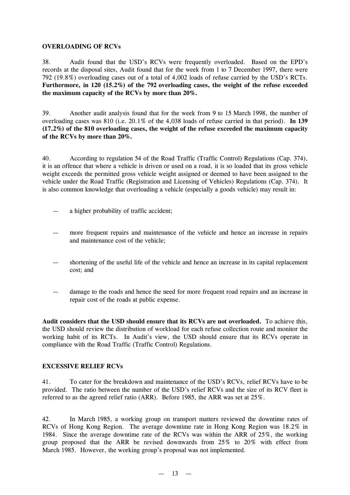### **OVERLOADING OF RCVs**

38. Audit found that the USD's RCVs were frequently overloaded. Based on the EPD's records at the disposal sites, Audit found that for the week from 1 to 7 December 1997, there were 792 (19.8%) overloading cases out of a total of 4,002 loads of refuse carried by the USD's RCTs. **Furthermore, in 120 (15.2%) of the 792 overloading cases, the weight of the refuse exceeded the maximum capacity of the RCVs by more than 20%.**

39. Another audit analysis found that for the week from 9 to 15 March 1998, the number of overloading cases was 810 (i.e. 20.1% of the 4,038 loads of refuse carried in that period). **In 139 (17.2%) of the 810 overloading cases, the weight of the refuse exceeded the maximum capacity of the RCVs by more than 20%.**

40. According to regulation 54 of the Road Traffic (Traffic Control) Regulations (Cap. 374), it is an offence that where a vehicle is driven or used on a road, it is so loaded that its gross vehicle weight exceeds the permitted gross vehicle weight assigned or deemed to have been assigned to the vehicle under the Road Traffic (Registration and Licensing of Vehicles) Regulations (Cap. 374). It is also common knowledge that overloading a vehicle (especially a goods vehicle) may result in:

- a higher probability of traffic accident;
- more frequent repairs and maintenance of the vehicle and hence an increase in repairs and maintenance cost of the vehicle;
- shortening of the useful life of the vehicle and hence an increase in its capital replacement cost; and
- damage to the roads and hence the need for more frequent road repairs and an increase in repair cost of the roads at public expense.

**Audit considers that the USD should ensure that its RCVs are not overloaded.** To achieve this, the USD should review the distribution of workload for each refuse collection route and monitor the working habit of its RCTs. In Audit's view, the USD should ensure that its RCVs operate in compliance with the Road Traffic (Traffic Control) Regulations.

# **EXCESSIVE RELIEF RCVs**

41. To cater for the breakdown and maintenance of the USD's RCVs, relief RCVs have to be provided. The ratio between the number of the USD's relief RCVs and the size of its RCV fleet is referred to as the agreed relief ratio (ARR). Before 1985, the ARR was set at 25%.

42. In March 1985, a working group on transport matters reviewed the downtime rates of RCVs of Hong Kong Region. The average downtime rate in Hong Kong Region was 18.2% in 1984. Since the average downtime rate of the RCVs was within the ARR of 25%, the working group proposed that the ARR be revised downwards from 25% to 20% with effect from March 1985. However, the working group's proposal was not implemented.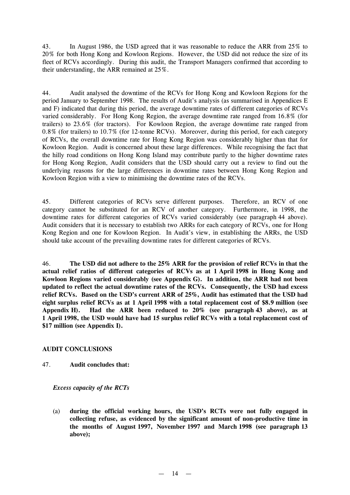43. In August 1986, the USD agreed that it was reasonable to reduce the ARR from 25% to 20% for both Hong Kong and Kowloon Regions. However, the USD did not reduce the size of its fleet of RCVs accordingly. During this audit, the Transport Managers confirmed that according to their understanding, the ARR remained at 25%.

44. Audit analysed the downtime of the RCVs for Hong Kong and Kowloon Regions for the period January to September 1998. The results of Audit's analysis (as summarised in Appendices E and F) indicated that during this period, the average downtime rates of different categories of RCVs varied considerably. For Hong Kong Region, the average downtime rate ranged from 16.8% (for trailers) to 23.6% (for tractors). For Kowloon Region, the average downtime rate ranged from 0.8% (for trailers) to 10.7% (for 12-tonne RCVs). Moreover, during this period, for each category of RCVs, the overall downtime rate for Hong Kong Region was considerably higher than that for Kowloon Region. Audit is concerned about these large differences. While recognising the fact that the hilly road conditions on Hong Kong Island may contribute partly to the higher downtime rates for Hong Kong Region, Audit considers that the USD should carry out a review to find out the underlying reasons for the large differences in downtime rates between Hong Kong Region and Kowloon Region with a view to minimising the downtime rates of the RCVs.

45. Different categories of RCVs serve different purposes. Therefore, an RCV of one category cannot be substituted for an RCV of another category. Furthermore, in 1998, the downtime rates for different categories of RCVs varied considerably (see paragraph 44 above). Audit considers that it is necessary to establish two ARRs for each category of RCVs, one for Hong Kong Region and one for Kowloon Region. In Audit's view, in establishing the ARRs, the USD should take account of the prevailing downtime rates for different categories of RCVs.

46. **The USD did not adhere to the 25% ARR for the provision of relief RCVs in that the actual relief ratios of different categories of RCVs as at 1 April 1998 in Hong Kong and Kowloon Regions varied considerably (see Appendix G). In addition, the ARR had not been updated to reflect the actual downtime rates of the RCVs. Consequently, the USD had excess relief RCVs. Based on the USD's current ARR of 25%, Audit has estimated that the USD had eight surplus relief RCVs as at 1 April 1998 with a total replacement cost of \$8.9 million (see Appendix H). Had the ARR been reduced to 20% (see paragraph 43 above), as at 1 April 1998, the USD would have had 15 surplus relief RCVs with a total replacement cost of \$17 million (see Appendix I).**

#### **AUDIT CONCLUSIONS**

47. **Audit concludes that:**

#### *Excess capacity of the RCTs*

(a) **during the official working hours, the USD's RCTs were not fully engaged in collecting refuse, as evidenced by the significant amount of non-productive time in the months of August 1997, November 1997 and March 1998 (see paragraph 13 above);**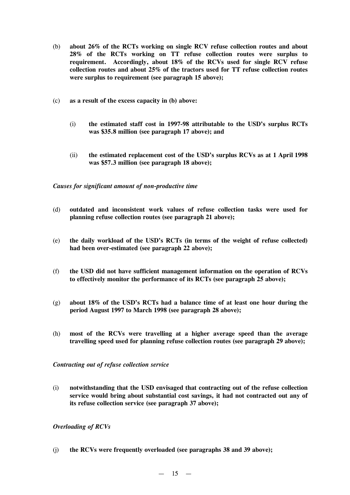- (b) **about 26% of the RCTs working on single RCV refuse collection routes and about 28% of the RCTs working on TT refuse collection routes were surplus to requirement. Accordingly, about 18% of the RCVs used for single RCV refuse collection routes and about 25% of the tractors used for TT refuse collection routes were surplus to requirement (see paragraph 15 above);**
- (c) **as a result of the excess capacity in (b) above:**
	- (i) **the estimated staff cost in 1997-98 attributable to the USD's surplus RCTs was \$35.8 million (see paragraph 17 above); and**
	- (ii) **the estimated replacement cost of the USD's surplus RCVs as at 1 April 1998 was \$57.3 million (see paragraph 18 above);**

*Causes for significant amount of non-productive time*

- (d) **outdated and inconsistent work values of refuse collection tasks were used for planning refuse collection routes (see paragraph 21 above);**
- (e) **the daily workload of the USD's RCTs (in terms of the weight of refuse collected) had been over-estimated (see paragraph 22 above);**
- (f) **the USD did not have sufficient management information on the operation of RCVs to effectively monitor the performance of its RCTs (see paragraph 25 above);**
- (g) **about 18% of the USD's RCTs had a balance time of at least one hour during the period August 1997 to March 1998 (see paragraph 28 above);**
- (h) **most of the RCVs were travelling at a higher average speed than the average travelling speed used for planning refuse collection routes (see paragraph 29 above);**

*Contracting out of refuse collection service*

(i) **notwithstanding that the USD envisaged that contracting out of the refuse collection service would bring about substantial cost savings, it had not contracted out any of its refuse collection service (see paragraph 37 above);**

#### *Overloading of RCVs*

(j) **the RCVs were frequently overloaded (see paragraphs 38 and 39 above);**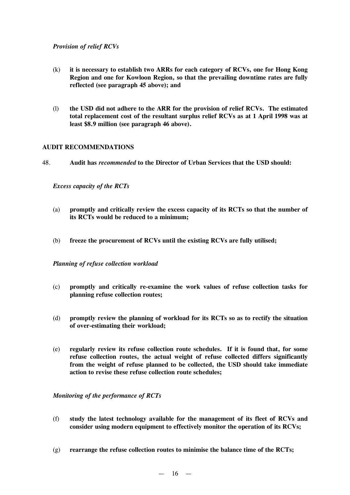# *Provision of relief RCVs*

- (k) **it is necessary to establish two ARRs for each category of RCVs, one for Hong Kong Region and one for Kowloon Region, so that the prevailing downtime rates are fully reflected (see paragraph 45 above); and**
- (l) **the USD did not adhere to the ARR for the provision of relief RCVs. The estimated total replacement cost of the resultant surplus relief RCVs as at 1 April 1998 was at least \$8.9 million (see paragraph 46 above).**

### **AUDIT RECOMMENDATIONS**

48. **Audit has** *recommended* **to the Director of Urban Services that the USD should:**

*Excess capacity of the RCTs*

- (a) **promptly and critically review the excess capacity of its RCTs so that the number of its RCTs would be reduced to a minimum;**
- (b) **freeze the procurement of RCVs until the existing RCVs are fully utilised;**

#### *Planning of refuse collection workload*

- (c) **promptly and critically re-examine the work values of refuse collection tasks for planning refuse collection routes;**
- (d) **promptly review the planning of workload for its RCTs so as to rectify the situation of over-estimating their workload;**
- (e) **regularly review its refuse collection route schedules. If it is found that, for some refuse collection routes, the actual weight of refuse collected differs significantly from the weight of refuse planned to be collected, the USD should take immediate action to revise these refuse collection route schedules;**

#### *Monitoring of the performance of RCTs*

- (f) **study the latest technology available for the management of its fleet of RCVs and consider using modern equipment to effectively monitor the operation of its RCVs;**
- (g) **rearrange the refuse collection routes to minimise the balance time of the RCTs;**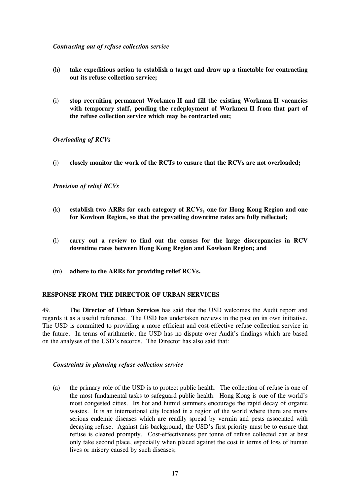### *Contracting out of refuse collection service*

- (h) **take expeditious action to establish a target and draw up a timetable for contracting out its refuse collection service;**
- (i) **stop recruiting permanent Workmen II and fill the existing Workman II vacancies with temporary staff, pending the redeployment of Workmen II from that part of the refuse collection service which may be contracted out;**

# *Overloading of RCVs*

(j) **closely monitor the work of the RCTs to ensure that the RCVs are not overloaded;**

# *Provision of relief RCVs*

- (k) **establish two ARRs for each category of RCVs, one for Hong Kong Region and one for Kowloon Region, so that the prevailing downtime rates are fully reflected;**
- (l) **carry out a review to find out the causes for the large discrepancies in RCV downtime rates between Hong Kong Region and Kowloon Region; and**
- (m) **adhere to the ARRs for providing relief RCVs.**

#### **RESPONSE FROM THE DIRECTOR OF URBAN SERVICES**

49. The **Director of Urban Services** has said that the USD welcomes the Audit report and regards it as a useful reference. The USD has undertaken reviews in the past on its own initiative. The USD is committed to providing a more efficient and cost-effective refuse collection service in the future. In terms of arithmetic, the USD has no dispute over Audit's findings which are based on the analyses of the USD's records. The Director has also said that:

#### *Constraints in planning refuse collection service*

(a) the primary role of the USD is to protect public health. The collection of refuse is one of the most fundamental tasks to safeguard public health. Hong Kong is one of the world's most congested cities. Its hot and humid summers encourage the rapid decay of organic wastes. It is an international city located in a region of the world where there are many serious endemic diseases which are readily spread by vermin and pests associated with decaying refuse. Against this background, the USD's first priority must be to ensure that refuse is cleared promptly. Cost-effectiveness per tonne of refuse collected can at best only take second place, especially when placed against the cost in terms of loss of human lives or misery caused by such diseases;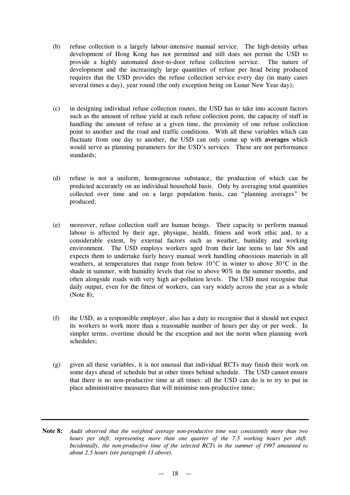- (b) refuse collection is a largely labour-intensive manual service. The high-density urban development of Hong Kong has not permitted and still does not permit the USD to provide a highly automated door-to-door refuse collection service. The nature of development and the increasingly large quantities of refuse per head being produced requires that the USD provides the refuse collection service every day (in many cases several times a day), year round (the only exception being on Lunar New Year day);
- (c) in designing individual refuse collection routes, the USD has to take into account factors such as the amount of refuse yield at each refuse collection point, the capacity of staff in handling the amount of refuse at a given time, the proximity of one refuse collection point to another and the road and traffic conditions. With all these variables which can fluctuate from one day to another, the USD can only come up with **averages** which would serve as planning parameters for the USD's services. These are not performance standards;
- (d) refuse is not a uniform, homogeneous substance, the production of which can be predicted accurately on an individual household basis. Only by averaging total quantities collected over time and on a large population basis, can "planning averages" be produced;
- (e) moreover, refuse collection staff are human beings. Their capacity to perform manual labour is affected by their age, physique, health, fitness and work ethic and, to a considerable extent, by external factors such as weather, humidity and working environment. The USD employs workers aged from their late teens to late 50s and expects them to undertake fairly heavy manual work handling obnoxious materials in all weathers, at temperatures that range from below 10°C in winter to above 30°C in the shade in summer, with humidity levels that rise to above 90% in the summer months, and often alongside roads with very high air-pollution levels. The USD must recognise that daily output, even for the fittest of workers, can vary widely across the year as a whole (Note 8);
- (f) the USD, as a responsible employer, also has a duty to recognise that it should not expect its workers to work more than a reasonable number of hours per day or per week. In simpler terms, overtime should be the exception and not the norm when planning work schedules;
- (g) given all these variables, it is not unusual that individual RCTs may finish their work on some days ahead of schedule but at other times behind schedule. The USD cannot ensure that there is no non-productive time at all times: all the USD can do is to try to put in place administrative measures that will minimise non-productive time;
- **Note 8:** *Audit observed that the weighted average non-productive time was consistently more than two hours per shift, representing more than one quarter of the 7.5 working hours per shift. Incidentally, the non-productive time of the selected RCTs in the summer of 1997 amounted to about 2.5 hours (see paragraph 13 above).*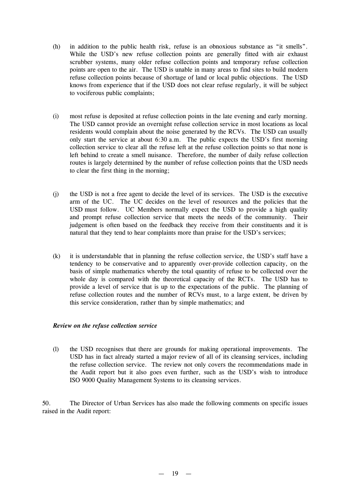- (h) in addition to the public health risk, refuse is an obnoxious substance as "it smells". While the USD's new refuse collection points are generally fitted with air exhaust scrubber systems, many older refuse collection points and temporary refuse collection points are open to the air. The USD is unable in many areas to find sites to build modern refuse collection points because of shortage of land or local public objections. The USD knows from experience that if the USD does not clear refuse regularly, it will be subject to vociferous public complaints;
- (i) most refuse is deposited at refuse collection points in the late evening and early morning. The USD cannot provide an overnight refuse collection service in most locations as local residents would complain about the noise generated by the RCVs. The USD can usually only start the service at about 6:30 a.m. The public expects the USD's first morning collection service to clear all the refuse left at the refuse collection points so that none is left behind to create a smell nuisance. Therefore, the number of daily refuse collection routes is largely determined by the number of refuse collection points that the USD needs to clear the first thing in the morning;
- (j) the USD is not a free agent to decide the level of its services. The USD is the executive arm of the UC. The UC decides on the level of resources and the policies that the USD must follow. UC Members normally expect the USD to provide a high quality and prompt refuse collection service that meets the needs of the community. Their judgement is often based on the feedback they receive from their constituents and it is natural that they tend to hear complaints more than praise for the USD's services;
- (k) it is understandable that in planning the refuse collection service, the USD's staff have a tendency to be conservative and to apparently over-provide collection capacity, on the basis of simple mathematics whereby the total quantity of refuse to be collected over the whole day is compared with the theoretical capacity of the RCTs. The USD has to provide a level of service that is up to the expectations of the public. The planning of refuse collection routes and the number of RCVs must, to a large extent, be driven by this service consideration, rather than by simple mathematics; and

#### *Review on the refuse collection service*

(l) the USD recognises that there are grounds for making operational improvements. The USD has in fact already started a major review of all of its cleansing services, including the refuse collection service. The review not only covers the recommendations made in the Audit report but it also goes even further, such as the USD's wish to introduce ISO 9000 Quality Management Systems to its cleansing services.

50. The Director of Urban Services has also made the following comments on specific issues raised in the Audit report: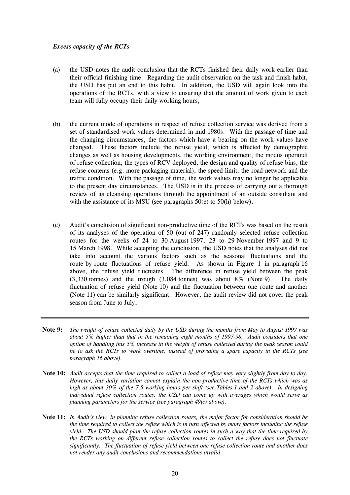#### *Excess capacity of the RCTs*

- (a) the USD notes the audit conclusion that the RCTs finished their daily work earlier than their official finishing time. Regarding the audit observation on the task and finish habit, the USD has put an end to this habit. In addition, the USD will again look into the operations of the RCTs, with a view to ensuring that the amount of work given to each team will fully occupy their daily working hours;
- (b) the current mode of operations in respect of refuse collection service was derived from a set of standardised work values determined in mid-1980s. With the passage of time and the changing circumstances, the factors which have a bearing on the work values have changed. These factors include the refuse yield, which is affected by demographic changes as well as housing developments, the working environment, the modus operandi of refuse collection, the types of RCV deployed, the design and quality of refuse bins, the refuse contents (e.g. more packaging material), the speed limit, the road network and the traffic condition. With the passage of time, the work values may no longer be applicable to the present day circumstances. The USD is in the process of carrying out a thorough review of its cleansing operations through the appointment of an outside consultant and with the assistance of its MSU (see paragraphs  $50(e)$  to  $50(h)$  below);
- (c) Audit's conclusion of significant non-productive time of the RCTs was based on the result of its analyses of the operation of 50 (out of 247) randomly selected refuse collection routes for the weeks of 24 to 30 August 1997, 23 to 29 November 1997 and 9 to 15 March 1998. While accepting the conclusion, the USD notes that the analyses did not take into account the various factors such as the seasonal fluctuations and the route-by-route fluctuations of refuse yield. As shown in Figure 1 in paragraph 16 above, the refuse yield fluctuates. The difference in refuse yield between the peak (3,330 tonnes) and the trough (3,084 tonnes) was about 8% (Note 9). The daily fluctuation of refuse yield (Note 10) and the fluctuation between one route and another (Note 11) can be similarly significant. However, the audit review did not cover the peak season from June to July;
- Note 9: The weight of refuse collected daily by the USD during the months from May to August 1997 was *about 5% higher than that in the remaining eight months of 1997-98. Audit considers that one option of handling this 5% increase in the weight of refuse collected during the peak season could be to ask the RCTs to work overtime, instead of providing a spare capacity in the RCTs (see paragraph 16 above).*
- Note 10: Audit accepts that the time required to collect a load of refuse may vary slightly from day to day. *However, this daily variation cannot explain the non-productive time of the RCTs which was as* high as about 30% of the 7.5 working hours per shift (see Tables 1 and 2 above). In designing *individual refuse collection routes, the USD can come up with averages which would serve as planning parameters for the service (see paragraph 49(c) above).*
- Note 11: In Audit's view, in planning refuse collection routes, the major factor for consideration should be the time required to collect the refuse which is in turn affected by many factors including the refuse *yield. The USD should plan the refuse collection routes in such a way that the time required by the RCTs working on different refuse collection routes to collect the refuse does not fluctuate significantly. The fluctuation of refuse yield between one refuse collection route and another does not render any audit conclusions and recommendations invalid.*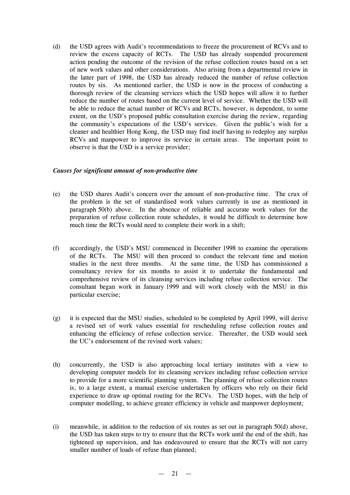(d) the USD agrees with Audit's recommendations to freeze the procurement of RCVs and to review the excess capacity of RCTs. The USD has already suspended procurement action pending the outcome of the revision of the refuse collection routes based on a set of new work values and other considerations. Also arising from a departmental review in the latter part of 1998, the USD has already reduced the number of refuse collection routes by six. As mentioned earlier, the USD is now in the process of conducting a thorough review of the cleansing services which the USD hopes will allow it to further reduce the number of routes based on the current level of service. Whether the USD will be able to reduce the actual number of RCVs and RCTs, however, is dependent, to some extent, on the USD's proposed public consultation exercise during the review, regarding the community's expectations of the USD's services. Given the public's wish for a cleaner and healthier Hong Kong, the USD may find itself having to redeploy any surplus RCVs and manpower to improve its service in certain areas. The important point to observe is that the USD is a service provider;

### *Causes for significant amount of non-productive time*

- (e) the USD shares Audit's concern over the amount of non-productive time. The crux of the problem is the set of standardised work values currently in use as mentioned in paragraph 50(b) above. In the absence of reliable and accurate work values for the preparation of refuse collection route schedules, it would be difficult to determine how much time the RCTs would need to complete their work in a shift;
- (f) accordingly, the USD's MSU commenced in December 1998 to examine the operations of the RCTs. The MSU will then proceed to conduct the relevant time and motion studies in the next three months. At the same time, the USD has commissioned a consultancy review for six months to assist it to undertake the fundamental and comprehensive review of its cleansing services including refuse collection service. The consultant began work in January 1999 and will work closely with the MSU in this particular exercise;
- (g) it is expected that the MSU studies, scheduled to be completed by April 1999, will derive a revised set of work values essential for rescheduling refuse collection routes and enhancing the efficiency of refuse collection service. Thereafter, the USD would seek the UC's endorsement of the revised work values;
- (h) concurrently, the USD is also approaching local tertiary institutes with a view to developing computer models for its cleansing services including refuse collection service to provide for a more scientific planning system. The planning of refuse collection routes is, to a large extent, a manual exercise undertaken by officers who rely on their field experience to draw up optimal routing for the RCVs. The USD hopes, with the help of computer modelling, to achieve greater efficiency in vehicle and manpower deployment;
- (i) meanwhile, in addition to the reduction of six routes as set out in paragraph  $50(d)$  above, the USD has taken steps to try to ensure that the RCTs work until the end of the shift, has tightened up supervision, and has endeavoured to ensure that the RCTs will not carry smaller number of loads of refuse than planned;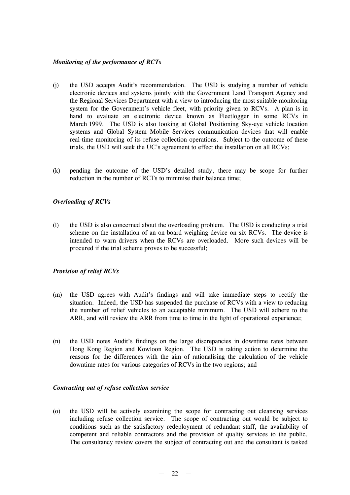## *Monitoring of the performance of RCTs*

- (j) the USD accepts Audit's recommendation. The USD is studying a number of vehicle electronic devices and systems jointly with the Government Land Transport Agency and the Regional Services Department with a view to introducing the most suitable monitoring system for the Government's vehicle fleet, with priority given to RCVs. A plan is in hand to evaluate an electronic device known as Fleetlogger in some RCVs in March 1999. The USD is also looking at Global Positioning Sky-eye vehicle location systems and Global System Mobile Services communication devices that will enable real-time monitoring of its refuse collection operations. Subject to the outcome of these trials, the USD will seek the UC's agreement to effect the installation on all RCVs;
- (k) pending the outcome of the USD's detailed study, there may be scope for further reduction in the number of RCTs to minimise their balance time;

### *Overloading of RCVs*

(l) the USD is also concerned about the overloading problem. The USD is conducting a trial scheme on the installation of an on-board weighing device on six RCVs. The device is intended to warn drivers when the RCVs are overloaded. More such devices will be procured if the trial scheme proves to be successful;

#### *Provision of relief RCVs*

- (m) the USD agrees with Audit's findings and will take immediate steps to rectify the situation. Indeed, the USD has suspended the purchase of RCVs with a view to reducing the number of relief vehicles to an acceptable minimum. The USD will adhere to the ARR, and will review the ARR from time to time in the light of operational experience;
- (n) the USD notes Audit's findings on the large discrepancies in downtime rates between Hong Kong Region and Kowloon Region. The USD is taking action to determine the reasons for the differences with the aim of rationalising the calculation of the vehicle downtime rates for various categories of RCVs in the two regions; and

#### *Contracting out of refuse collection service*

(o) the USD will be actively examining the scope for contracting out cleansing services including refuse collection service. The scope of contracting out would be subject to conditions such as the satisfactory redeployment of redundant staff, the availability of competent and reliable contractors and the provision of quality services to the public. The consultancy review covers the subject of contracting out and the consultant is tasked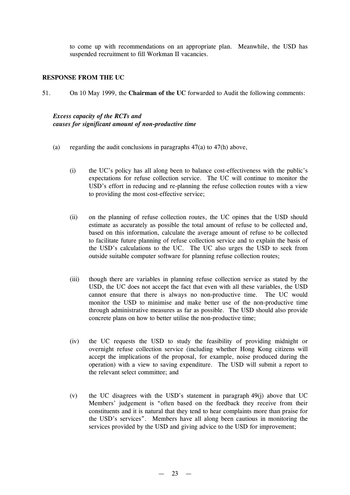to come up with recommendations on an appropriate plan. Meanwhile, the USD has suspended recruitment to fill Workman II vacancies.

#### **RESPONSE FROM THE UC**

51. On 10 May 1999, the **Chairman of the UC** forwarded to Audit the following comments:

#### *Excess capacity of the RCTs and causes for significant amount of non-productive time*

- (a) regarding the audit conclusions in paragraphs  $47(a)$  to  $47(h)$  above,
	- (i) the UC's policy has all along been to balance cost-effectiveness with the public's expectations for refuse collection service. The UC will continue to monitor the USD's effort in reducing and re-planning the refuse collection routes with a view to providing the most cost-effective service;
	- (ii) on the planning of refuse collection routes, the UC opines that the USD should estimate as accurately as possible the total amount of refuse to be collected and, based on this information, calculate the average amount of refuse to be collected to facilitate future planning of refuse collection service and to explain the basis of the USD's calculations to the UC. The UC also urges the USD to seek from outside suitable computer software for planning refuse collection routes;
	- (iii) though there are variables in planning refuse collection service as stated by the USD, the UC does not accept the fact that even with all these variables, the USD cannot ensure that there is always no non-productive time. The UC would monitor the USD to minimise and make better use of the non-productive time through administrative measures as far as possible. The USD should also provide concrete plans on how to better utilise the non-productive time;
	- (iv) the UC requests the USD to study the feasibility of providing midnight or overnight refuse collection service (including whether Hong Kong citizens will accept the implications of the proposal, for example, noise produced during the operation) with a view to saving expenditure. The USD will submit a report to the relevant select committee; and
	- (v) the UC disagrees with the USD's statement in paragraph 49(j) above that UC Members' judgement is "often based on the feedback they receive from their constituents and it is natural that they tend to hear complaints more than praise for the USD's services". Members have all along been cautious in monitoring the services provided by the USD and giving advice to the USD for improvement;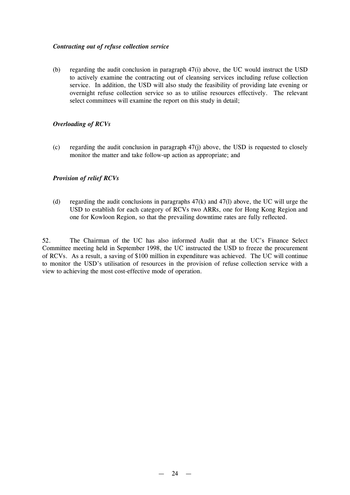### *Contracting out of refuse collection service*

(b) regarding the audit conclusion in paragraph 47(i) above, the UC would instruct the USD to actively examine the contracting out of cleansing services including refuse collection service. In addition, the USD will also study the feasibility of providing late evening or overnight refuse collection service so as to utilise resources effectively. The relevant select committees will examine the report on this study in detail;

## *Overloading of RCVs*

(c) regarding the audit conclusion in paragraph 47(j) above, the USD is requested to closely monitor the matter and take follow-up action as appropriate; and

### *Provision of relief RCVs*

(d) regarding the audit conclusions in paragraphs  $47(k)$  and  $47(l)$  above, the UC will urge the USD to establish for each category of RCVs two ARRs, one for Hong Kong Region and one for Kowloon Region, so that the prevailing downtime rates are fully reflected.

52. The Chairman of the UC has also informed Audit that at the UC's Finance Select Committee meeting held in September 1998, the UC instructed the USD to freeze the procurement of RCVs. As a result, a saving of \$100 million in expenditure was achieved. The UC will continue to monitor the USD's utilisation of resources in the provision of refuse collection service with a view to achieving the most cost-effective mode of operation.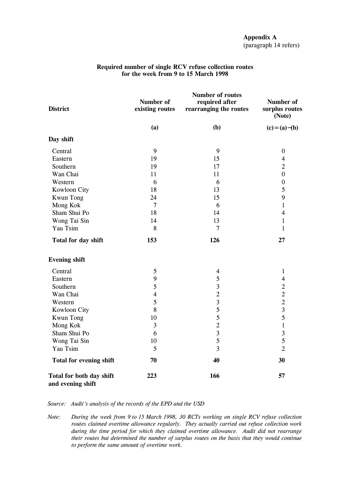| <b>District</b>                               | Number of<br>existing routes | Number of routes<br>required after<br>rearranging the routes | Number of<br>surplus routes<br>(Note) |
|-----------------------------------------------|------------------------------|--------------------------------------------------------------|---------------------------------------|
|                                               | (a)                          | (b)                                                          | $(c) = (a) - (b)$                     |
| Day shift                                     |                              |                                                              |                                       |
| Central                                       | 9                            | 9                                                            | $\boldsymbol{0}$                      |
| Eastern                                       | 19                           | 15                                                           | $\overline{4}$                        |
| Southern                                      | 19                           | 17                                                           | $\overline{2}$                        |
| Wan Chai                                      | 11                           | 11                                                           | $\boldsymbol{0}$                      |
| Western                                       | 6                            | 6                                                            | $\boldsymbol{0}$                      |
| Kowloon City                                  | 18                           | 13                                                           | 5                                     |
| <b>Kwun Tong</b>                              | 24                           | 15                                                           | 9                                     |
| Mong Kok                                      | $\overline{7}$               | 6                                                            | $\mathbf{1}$                          |
| Sham Shui Po                                  | 18                           | 14                                                           | $\overline{4}$                        |
| Wong Tai Sin                                  | 14                           | 13                                                           | $\mathbf{1}$                          |
| Yau Tsim                                      | 8                            | $\overline{7}$                                               | $\mathbf{1}$                          |
| Total for day shift                           | 153                          | 126                                                          | 27                                    |
| <b>Evening shift</b>                          |                              |                                                              |                                       |
| Central                                       | 5                            | $\overline{4}$                                               | $\mathbf{1}$                          |
| Eastern                                       | 9                            | 5                                                            | $\overline{4}$                        |
| Southern                                      | 5                            | 3                                                            | $\sqrt{2}$                            |
| Wan Chai                                      | $\overline{\mathbf{4}}$      | $\overline{2}$                                               | $\overline{2}$                        |
| Western                                       | 5                            | 3                                                            | $\overline{2}$                        |
| Kowloon City                                  | 8                            | 5                                                            | 3                                     |
| <b>Kwun Tong</b>                              | 10                           | 5                                                            | 5                                     |
| Mong Kok                                      | 3                            | $\overline{c}$                                               | $\mathbf 1$                           |
| Sham Shui Po                                  | 6                            | $\overline{\mathbf{3}}$                                      | 3                                     |
| Wong Tai Sin                                  | 10                           | 5                                                            | 5                                     |
| Yau Tsim                                      | 5                            | $\overline{\mathbf{3}}$                                      | $\overline{2}$                        |
| <b>Total for evening shift</b>                | 70                           | 40                                                           | 30                                    |
| Total for both day shift<br>and evening shift | 223                          | 166                                                          | 57                                    |

#### **Required number of single RCV refuse collection routes for the week from 9 to 15 March 1998**

*Source: Audit's analysis of the records of the EPD and the USD*

*Note: During the week from 9 to 15 March 1998, 30 RCTs working on single RCV refuse collection routes claimed overtime allowance regularly. They actually carried out refuse collection work during the time period for which they claimed overtime allowance. Audit did not rearrange their routes but determined the number of surplus routes on the basis that they would continue to perform the same amount of overtime work.*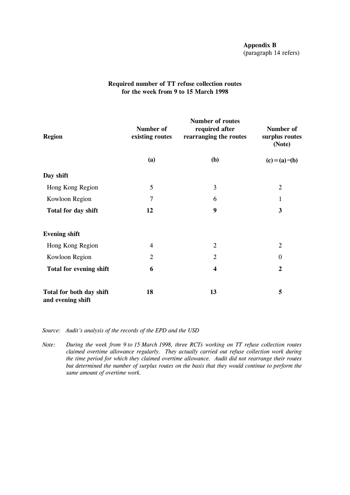## **Appendix B** (paragraph 14 refers)

# **Required number of TT refuse collection routes for the week from 9 to 15 March 1998**

| <b>Region</b>                                 | Number of<br>existing routes | <b>Number of routes</b><br>required after<br>rearranging the routes | Number of<br>surplus routes<br>(Note) |
|-----------------------------------------------|------------------------------|---------------------------------------------------------------------|---------------------------------------|
|                                               | (a)                          | (b)                                                                 | $(c)=(a)-(b)$                         |
| Day shift                                     |                              |                                                                     |                                       |
| Hong Kong Region                              | 5                            | 3                                                                   | $\overline{2}$                        |
| Kowloon Region                                | 7                            | 6                                                                   | 1                                     |
| Total for day shift                           | 12                           | 9                                                                   | $\mathbf{3}$                          |
| <b>Evening shift</b>                          |                              |                                                                     |                                       |
| Hong Kong Region                              | $\overline{4}$               | $\overline{2}$                                                      | $\overline{2}$                        |
| Kowloon Region                                | $\overline{2}$               | 2                                                                   | $\boldsymbol{0}$                      |
| <b>Total for evening shift</b>                | 6                            | $\boldsymbol{4}$                                                    | $\boldsymbol{2}$                      |
| Total for both day shift<br>and evening shift | 18                           | 13                                                                  | 5                                     |

*Source: Audit's analysis of the records of the EPD and the USD*

*Note: During the week from 9 to 15 March 1998, three RCTs working on TT refuse collection routes claimed overtime allowance regularly. They actually carried out refuse collection work during the time period for which they claimed overtime allowance. Audit did not rearrange their routes but determined the number of surplus routes on the basis that they would continue to perform the same amount of overtime work.*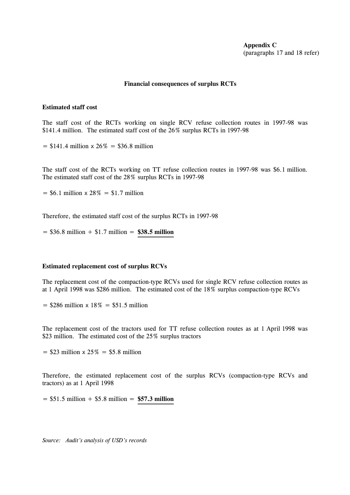### **Appendix C** (paragraphs 17 and 18 refer)

#### **Financial consequences of surplus RCTs**

#### **Estimated staff cost**

The staff cost of the RCTs working on single RCV refuse collection routes in 1997-98 was \$141.4 million. The estimated staff cost of the 26% surplus RCTs in 1997-98

 $= $141.4$  million  $\times 26\% = $36.8$  million

The staff cost of the RCTs working on TT refuse collection routes in 1997-98 was \$6.1 million. The estimated staff cost of the 28% surplus RCTs in 1997-98

 $=$  \$6.1 million  $\times$  28%  $=$  \$1.7 million

Therefore, the estimated staff cost of the surplus RCTs in 1997-98

 $=$  \$36.8 million + \$1.7 million = \$38.5 million

#### **Estimated replacement cost of surplus RCVs**

The replacement cost of the compaction-type RCVs used for single RCV refuse collection routes as at 1 April 1998 was \$286 million. The estimated cost of the 18% surplus compaction-type RCVs

 $=$  \$286 million  $\times$  18% = \$51.5 million

The replacement cost of the tractors used for TT refuse collection routes as at 1 April 1998 was \$23 million. The estimated cost of the 25% surplus tractors

 $= $23$  million  $\times 25\% = $5.8$  million

Therefore, the estimated replacement cost of the surplus RCVs (compaction-type RCVs and tractors) as at 1 April 1998

= \$51.5 million + \$5.8 million = **\$57.3 million**

*Source: Audit's analysis of USD's records*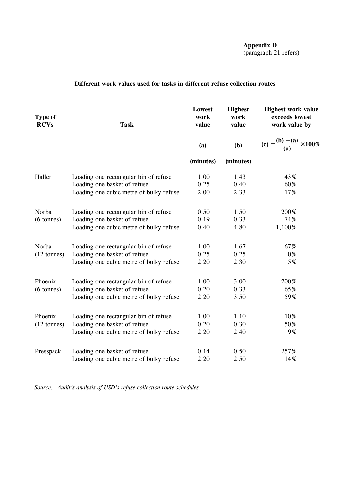**Appendix D** (paragraph 21 refers)

# **Different work values used for tasks in different refuse collection routes**

| Type of<br><b>RCVs</b> | <b>Task</b>                             | Lowest<br>work<br>value | <b>Highest</b><br>work<br>value | <b>Highest work value</b><br>exceeds lowest<br>work value by |
|------------------------|-----------------------------------------|-------------------------|---------------------------------|--------------------------------------------------------------|
|                        |                                         | (a)                     | (b)                             | (c) = $\frac{(b) - (a)}{(a)} \times 100\%$                   |
|                        |                                         | (minutes)               | (minutes)                       |                                                              |
| Haller                 | Loading one rectangular bin of refuse   | 1.00                    | 1.43                            | 43%                                                          |
|                        | Loading one basket of refuse            | 0.25                    | 0.40                            | 60%                                                          |
|                        | Loading one cubic metre of bulky refuse | 2.00                    | 2.33                            | 17%                                                          |
| Norba                  | Loading one rectangular bin of refuse   | 0.50                    | 1.50                            | 200%                                                         |
| $(6 \text{ tonnes})$   | Loading one basket of refuse            | 0.19                    | 0.33                            | 74%                                                          |
|                        | Loading one cubic metre of bulky refuse | 0.40                    | 4.80                            | 1,100%                                                       |
| Norba                  | Loading one rectangular bin of refuse   | 1.00                    | 1.67                            | 67%                                                          |
| $(12 \text{ tonnes})$  | Loading one basket of refuse            | 0.25                    | 0.25                            | 0%                                                           |
|                        | Loading one cubic metre of bulky refuse | 2.20                    | 2.30                            | 5%                                                           |
| Phoenix                | Loading one rectangular bin of refuse   | 1.00                    | 3.00                            | 200%                                                         |
| $(6 \text{ tonnes})$   | Loading one basket of refuse            | 0.20                    | 0.33                            | 65%                                                          |
|                        | Loading one cubic metre of bulky refuse | 2.20                    | 3.50                            | 59%                                                          |
| Phoenix                | Loading one rectangular bin of refuse   | 1.00                    | 1.10                            | 10%                                                          |
| $(12 \text{ tonnes})$  | Loading one basket of refuse            | 0.20                    | 0.30                            | 50%                                                          |
|                        | Loading one cubic metre of bulky refuse | 2.20                    | 2.40                            | 9%                                                           |
| Presspack              | Loading one basket of refuse            | 0.14                    | 0.50                            | 257%                                                         |
|                        | Loading one cubic metre of bulky refuse | 2.20                    | 2.50                            | 14%                                                          |

*Source: Audit's analysis of USD's refuse collection route schedules*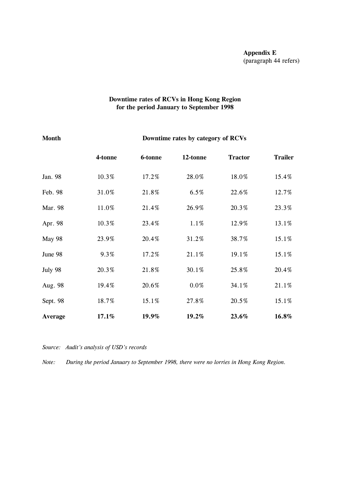# **Downtime rates of RCVs in Hong Kong Region for the period January to September 1998**

# **Month Downtime rates by category of RCVs**

|          | 4-tonne | 6-tonne | 12-tonne | <b>Tractor</b> | <b>Trailer</b> |
|----------|---------|---------|----------|----------------|----------------|
| Jan. 98  | 10.3%   | 17.2%   | 28.0%    | 18.0%          | 15.4%          |
| Feb. 98  | 31.0%   | 21.8%   | 6.5%     | 22.6%          | 12.7%          |
| Mar. 98  | 11.0%   | 21.4%   | 26.9%    | 20.3%          | 23.3%          |
| Apr. 98  | 10.3%   | 23.4%   | 1.1%     | 12.9%          | 13.1%          |
| May 98   | 23.9%   | 20.4%   | 31.2%    | 38.7%          | 15.1%          |
| June 98  | 9.3%    | 17.2%   | 21.1%    | 19.1%          | 15.1%          |
| July 98  | 20.3%   | 21.8%   | 30.1%    | 25.8%          | 20.4%          |
| Aug. 98  | 19.4%   | 20.6%   | $0.0\%$  | 34.1%          | 21.1%          |
| Sept. 98 | 18.7%   | 15.1%   | 27.8%    | 20.5%          | 15.1%          |
| Average  | 17.1%   | 19.9%   | 19.2%    | 23.6%          | 16.8%          |

*Source: Audit's analysis of USD's records*

*Note: During the period January to September 1998, there were no lorries in Hong Kong Region.*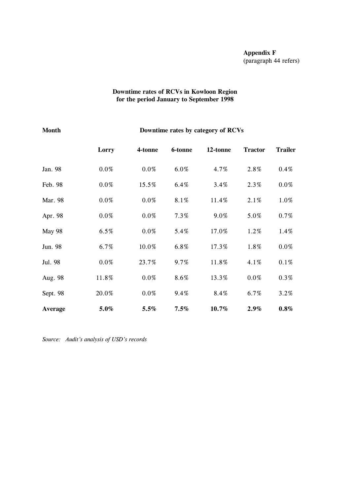#### **Downtime rates of RCVs in Kowloon Region for the period January to September 1998**

# **Month Downtime rates by category of RCVs**

|               | Lorry   | 4-tonne | 6-tonne | 12-tonne | <b>Tractor</b> | <b>Trailer</b> |
|---------------|---------|---------|---------|----------|----------------|----------------|
| Jan. 98       | $0.0\%$ | $0.0\%$ | 6.0%    | 4.7%     | 2.8%           | 0.4%           |
| Feb. 98       | $0.0\%$ | 15.5%   | 6.4%    | 3.4%     | 2.3%           | $0.0\%$        |
| Mar. 98       | $0.0\%$ | $0.0\%$ | 8.1%    | 11.4%    | 2.1%           | 1.0%           |
| Apr. 98       | $0.0\%$ | $0.0\%$ | 7.3%    | 9.0%     | 5.0%           | 0.7%           |
| <b>May 98</b> | 6.5%    | $0.0\%$ | 5.4%    | 17.0%    | 1.2%           | 1.4%           |
| Jun. 98       | 6.7%    | 10.0%   | 6.8%    | 17.3%    | 1.8%           | $0.0\%$        |
| Jul. 98       | $0.0\%$ | 23.7%   | $9.7\%$ | 11.8%    | 4.1%           | $0.1\%$        |
| Aug. 98       | 11.8%   | $0.0\%$ | 8.6%    | 13.3%    | $0.0\%$        | $0.3\%$        |
| Sept. 98      | 20.0%   | $0.0\%$ | 9.4%    | 8.4%     | 6.7%           | 3.2%           |
| Average       | 5.0%    | 5.5%    | 7.5%    | 10.7%    | 2.9%           | $0.8\%$        |

*Source: Audit's analysis of USD's records*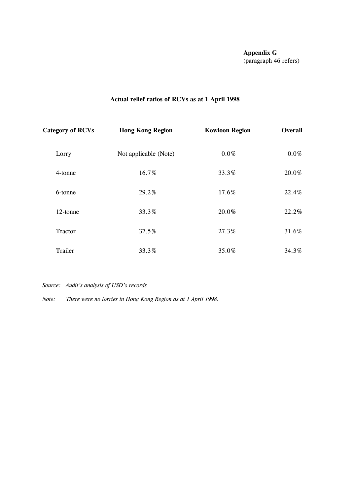# **Actual relief ratios of RCVs as at 1 April 1998**

| <b>Category of RCVs</b> | <b>Hong Kong Region</b> | <b>Kowloon Region</b> | Overall |  |
|-------------------------|-------------------------|-----------------------|---------|--|
| Lorry                   | Not applicable (Note)   | $0.0\%$               | $0.0\%$ |  |
| 4-tonne                 | 16.7%                   | 33.3%                 | 20.0%   |  |
| 6-tonne                 | 29.2%                   | 17.6%                 | 22.4%   |  |
| 12-tonne                | 33.3%                   | 20.0%                 | 22.2%   |  |
| Tractor                 | 37.5%                   | 27.3%                 | 31.6%   |  |
| Trailer                 | 33.3%                   | 35.0%                 | 34.3%   |  |

*Source: Audit's analysis of USD's records*

*Note: There were no lorries in Hong Kong Region as at 1 April 1998.*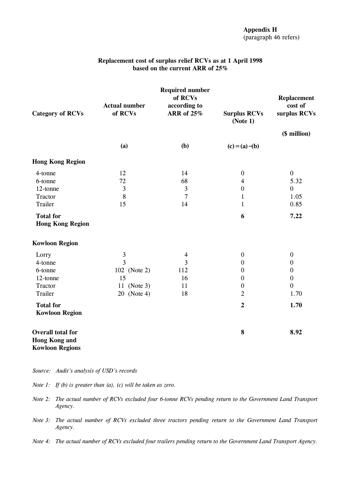| <b>Category of RCVs</b>                                                    | <b>Actual number</b><br>of RCVs | <b>Required number</b><br>of RCVs<br>according to<br><b>ARR</b> of 25% | <b>Surplus RCVs</b><br>(Note 1) | <b>Replacement</b><br>cost of<br>surplus RCVs |
|----------------------------------------------------------------------------|---------------------------------|------------------------------------------------------------------------|---------------------------------|-----------------------------------------------|
|                                                                            |                                 |                                                                        |                                 | (\$ million)                                  |
|                                                                            | (a)                             | (b)                                                                    | $(c) = (a) - (b)$               |                                               |
| <b>Hong Kong Region</b>                                                    |                                 |                                                                        |                                 |                                               |
| 4-tonne                                                                    | 12                              | 14                                                                     | $\boldsymbol{0}$                | $\boldsymbol{0}$                              |
| 6-tonne                                                                    | 72                              | 68                                                                     | $\overline{4}$                  | 5.32                                          |
| 12-tonne                                                                   | $\mathfrak{Z}$                  | $\mathfrak{Z}$                                                         | $\boldsymbol{0}$                | $\mathbf{0}$                                  |
| Tractor                                                                    | 8                               | $\overline{7}$                                                         | $\mathbf{1}$                    | 1.05                                          |
| Trailer                                                                    | 15                              | 14                                                                     | $\mathbf{1}$                    | 0.85                                          |
| <b>Total for</b><br><b>Hong Kong Region</b>                                |                                 |                                                                        | 6                               | 7.22                                          |
| <b>Kowloon Region</b>                                                      |                                 |                                                                        |                                 |                                               |
| Lorry                                                                      | $\mathfrak{Z}$                  | $\overline{\mathcal{A}}$                                               | $\boldsymbol{0}$                | $\boldsymbol{0}$                              |
| 4-tonne                                                                    | $\overline{3}$                  | 3                                                                      | $\boldsymbol{0}$                | $\boldsymbol{0}$                              |
| 6-tonne                                                                    | 102 (Note 2)                    | 112                                                                    | $\boldsymbol{0}$                | $\boldsymbol{0}$                              |
| 12-tonne                                                                   | 15                              | 16                                                                     | $\boldsymbol{0}$                | $\boldsymbol{0}$                              |
| Tractor                                                                    | 11 (Note 3)                     | 11                                                                     | $\boldsymbol{0}$                | $\overline{0}$                                |
| Trailer                                                                    | 20 (Note 4)                     | 18                                                                     | $\overline{2}$                  | 1.70                                          |
| <b>Total for</b><br><b>Kowloon Region</b>                                  |                                 |                                                                        | $\overline{2}$                  | 1.70                                          |
| <b>Overall total for</b><br><b>Hong Kong and</b><br><b>Kowloon Regions</b> |                                 |                                                                        | 8                               | 8.92                                          |

# **Replacement cost of surplus relief RCVs as at 1 April 1998 based on the current ARR of 25%**

*Source: Audit's analysis of USD's records*

*Note 1: If (b) is greater than (a), (c) will be taken as zero.*

Note 2: The actual number of RCVs excluded four 6-tonne RCVs pending return to the Government Land Transport *Agency.*

*Note 3: The actual number of RCVs excluded three tractors pending return to the Government Land Transport Agency.*

Note 4: The actual number of RCVs excluded four trailers pending return to the Government Land Transport Agency.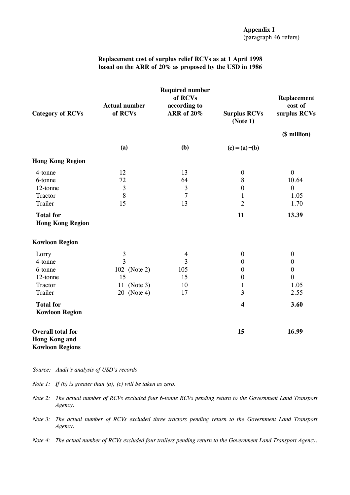### **Appendix I** (paragraph 46 refers)

#### **Replacement cost of surplus relief RCVs as at 1 April 1998 based on the ARR of 20% as proposed by the USD in 1986**

|                          | <b>Required number</b><br>of RCVs<br><b>Actual number</b><br>according to |                   |                                 | <b>Replacement</b><br>cost of |
|--------------------------|---------------------------------------------------------------------------|-------------------|---------------------------------|-------------------------------|
| <b>Category of RCVs</b>  | of RCVs                                                                   | <b>ARR</b> of 20% | <b>Surplus RCVs</b><br>(Note 1) | surplus RCVs                  |
|                          |                                                                           |                   |                                 | (\$ million)                  |
|                          | (a)                                                                       | (b)               | $(c) = (a) - (b)$               |                               |
| <b>Hong Kong Region</b>  |                                                                           |                   |                                 |                               |
| 4-tonne                  | 12                                                                        | 13                | $\boldsymbol{0}$                | $\boldsymbol{0}$              |
| 6-tonne                  | 72                                                                        | 64                | 8                               | 10.64                         |
| 12-tonne                 | $\overline{\mathbf{3}}$                                                   | $\mathfrak{Z}$    | $\boldsymbol{0}$                | $\mathbf{0}$                  |
| Tractor                  | 8                                                                         | $\overline{7}$    | $\mathbf{1}$                    | 1.05                          |
| Trailer                  | 15                                                                        | 13                | $\overline{2}$                  | 1.70                          |
| <b>Total for</b>         |                                                                           |                   | 11                              | 13.39                         |
| <b>Hong Kong Region</b>  |                                                                           |                   |                                 |                               |
| <b>Kowloon Region</b>    |                                                                           |                   |                                 |                               |
| Lorry                    | 3                                                                         | $\overline{4}$    | $\boldsymbol{0}$                | $\boldsymbol{0}$              |
| 4-tonne                  | $\overline{3}$                                                            | 3                 | $\boldsymbol{0}$                | $\boldsymbol{0}$              |
| 6-tonne                  | 102 (Note 2)                                                              | 105               | $\boldsymbol{0}$                | $\boldsymbol{0}$              |
| 12-tonne                 | 15                                                                        | 15                | $\boldsymbol{0}$                | $\boldsymbol{0}$              |
| Tractor                  | 11 (Note 3)                                                               | 10                | $\mathbf{1}$                    | 1.05                          |
| Trailer                  | 20 (Note 4)                                                               | 17                | 3                               | 2.55                          |
| <b>Total for</b>         |                                                                           |                   | $\overline{\mathbf{4}}$         | 3.60                          |
| <b>Kowloon Region</b>    |                                                                           |                   |                                 |                               |
| <b>Overall total for</b> |                                                                           |                   | 15                              | 16.99                         |
| <b>Hong Kong and</b>     |                                                                           |                   |                                 |                               |
| <b>Kowloon Regions</b>   |                                                                           |                   |                                 |                               |

*Source: Audit's analysis of USD's records*

*Note 1: If (b) is greater than (a), (c) will be taken as zero.*

- Note 2: The actual number of RCVs excluded four 6-tonne RCVs pending return to the Government Land Transport *Agency.*
- *Note 3: The actual number of RCVs excluded three tractors pending return to the Government Land Transport Agency.*
- Note 4: The actual number of RCVs excluded four trailers pending return to the Government Land Transport Agency.